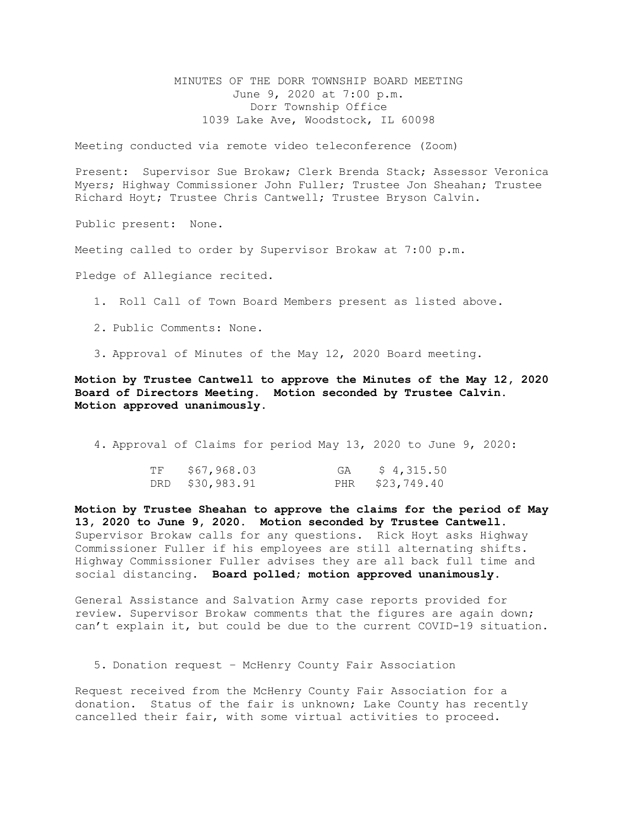MINUTES OF THE DORR TOWNSHIP BOARD MEETING June 9, 2020 at 7:00 p.m. Dorr Township Office 1039 Lake Ave, Woodstock, IL 60098

Meeting conducted via remote video teleconference (Zoom)

Present: Supervisor Sue Brokaw; Clerk Brenda Stack; Assessor Veronica Myers; Highway Commissioner John Fuller; Trustee Jon Sheahan; Trustee Richard Hoyt; Trustee Chris Cantwell; Trustee Bryson Calvin.

Public present: None.

Meeting called to order by Supervisor Brokaw at 7:00 p.m.

Pledge of Allegiance recited.

- 1. Roll Call of Town Board Members present as listed above.
- 2. Public Comments: None.
- 3. Approval of Minutes of the May 12, 2020 Board meeting.

Motion by Trustee Cantwell to approve the Minutes of the May 12, 2020 Board of Directors Meeting. Motion seconded by Trustee Calvin. Motion approved unanimously.

4. Approval of Claims for period May 13, 2020 to June 9, 2020:

| TF | \$67,968.03     | GA | \$4,315.50      |
|----|-----------------|----|-----------------|
|    | DRD \$30,983.91 |    | PHR \$23,749.40 |

Motion by Trustee Sheahan to approve the claims for the period of May 13, 2020 to June 9, 2020. Motion seconded by Trustee Cantwell. Supervisor Brokaw calls for any questions. Rick Hoyt asks Highway Commissioner Fuller if his employees are still alternating shifts. Highway Commissioner Fuller advises they are all back full time and social distancing. Board polled; motion approved unanimously.

General Assistance and Salvation Army case reports provided for review. Supervisor Brokaw comments that the figures are again down; can't explain it, but could be due to the current COVID-19 situation.

5. Donation request – McHenry County Fair Association

Request received from the McHenry County Fair Association for a donation. Status of the fair is unknown; Lake County has recently cancelled their fair, with some virtual activities to proceed.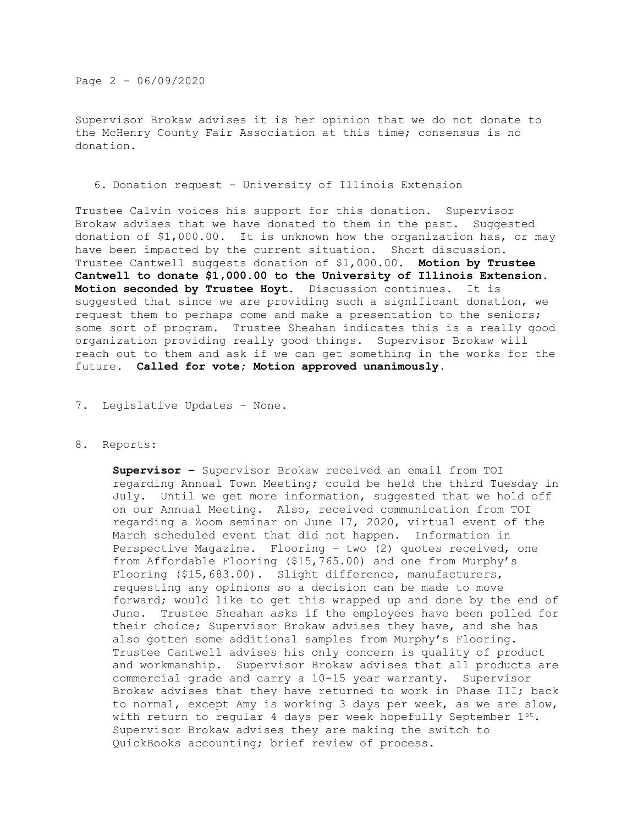Page 2 – 06/09/2020

Supervisor Brokaw advises it is her opinion that we do not donate to the McHenry County Fair Association at this time; consensus is no donation.

# 6. Donation request – University of Illinois Extension

Trustee Calvin voices his support for this donation. Supervisor Brokaw advises that we have donated to them in the past. Suggested donation of \$1,000.00. It is unknown how the organization has, or may have been impacted by the current situation. Short discussion. Trustee Cantwell suggests donation of \$1,000.00. Motion by Trustee Cantwell to donate \$1,000.00 to the University of Illinois Extension. Motion seconded by Trustee Hoyt. Discussion continues. It is suggested that since we are providing such a significant donation, we request them to perhaps come and make a presentation to the seniors; some sort of program. Trustee Sheahan indicates this is a really good organization providing really good things. Supervisor Brokaw will reach out to them and ask if we can get something in the works for the future. Called for vote; Motion approved unanimously.

# 7. Legislative Updates – None.

## 8. Reports:

Supervisor - Supervisor Brokaw received an email from TOI regarding Annual Town Meeting; could be held the third Tuesday in July. Until we get more information, suggested that we hold off on our Annual Meeting. Also, received communication from TOI regarding a Zoom seminar on June 17, 2020, virtual event of the March scheduled event that did not happen. Information in Perspective Magazine. Flooring – two (2) quotes received, one from Affordable Flooring (\$15,765.00) and one from Murphy's Flooring (\$15,683.00). Slight difference, manufacturers, requesting any opinions so a decision can be made to move forward; would like to get this wrapped up and done by the end of June. Trustee Sheahan asks if the employees have been polled for their choice; Supervisor Brokaw advises they have, and she has also gotten some additional samples from Murphy's Flooring. Trustee Cantwell advises his only concern is quality of product and workmanship. Supervisor Brokaw advises that all products are commercial grade and carry a 10-15 year warranty. Supervisor Brokaw advises that they have returned to work in Phase III; back to normal, except Amy is working 3 days per week, as we are slow, with return to reqular 4 days per week hopefully September  $1^{st}$ . Supervisor Brokaw advises they are making the switch to QuickBooks accounting; brief review of process.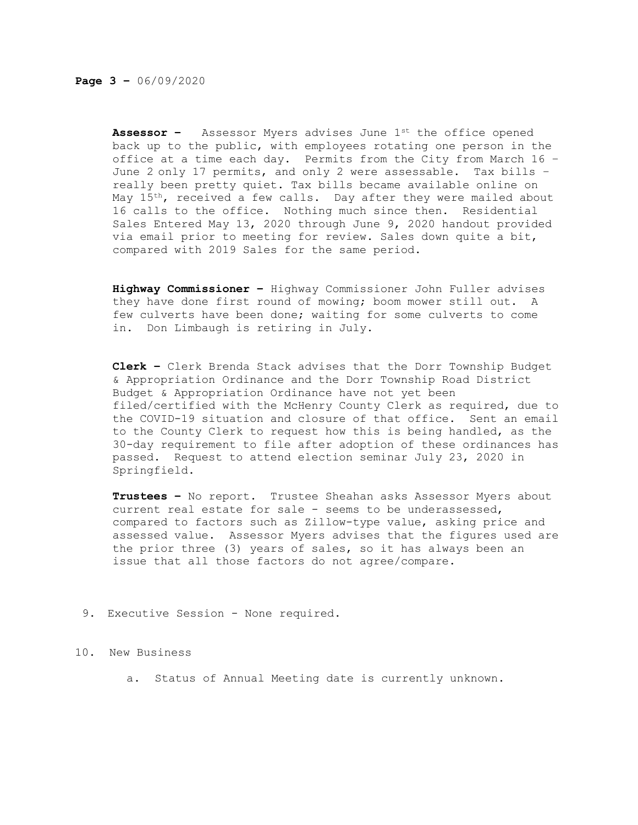**Assessor -** Assessor Myers advises June  $1^{st}$  the office opened back up to the public, with employees rotating one person in the office at a time each day. Permits from the City from March 16 – June 2 only 17 permits, and only 2 were assessable. Tax bills – really been pretty quiet. Tax bills became available online on May 15<sup>th</sup>, received a few calls. Day after they were mailed about 16 calls to the office. Nothing much since then. Residential Sales Entered May 13, 2020 through June 9, 2020 handout provided via email prior to meeting for review. Sales down quite a bit, compared with 2019 Sales for the same period.

Highway Commissioner – Highway Commissioner John Fuller advises they have done first round of mowing; boom mower still out. A few culverts have been done; waiting for some culverts to come in. Don Limbaugh is retiring in July.

Clerk – Clerk Brenda Stack advises that the Dorr Township Budget & Appropriation Ordinance and the Dorr Township Road District Budget & Appropriation Ordinance have not yet been filed/certified with the McHenry County Clerk as required, due to the COVID-19 situation and closure of that office. Sent an email to the County Clerk to request how this is being handled, as the 30-day requirement to file after adoption of these ordinances has passed. Request to attend election seminar July 23, 2020 in Springfield.

Trustees - No report. Trustee Sheahan asks Assessor Myers about current real estate for sale - seems to be underassessed, compared to factors such as Zillow-type value, asking price and assessed value. Assessor Myers advises that the figures used are the prior three (3) years of sales, so it has always been an issue that all those factors do not agree/compare.

## 9. Executive Session - None required.

## 10. New Business

a. Status of Annual Meeting date is currently unknown.